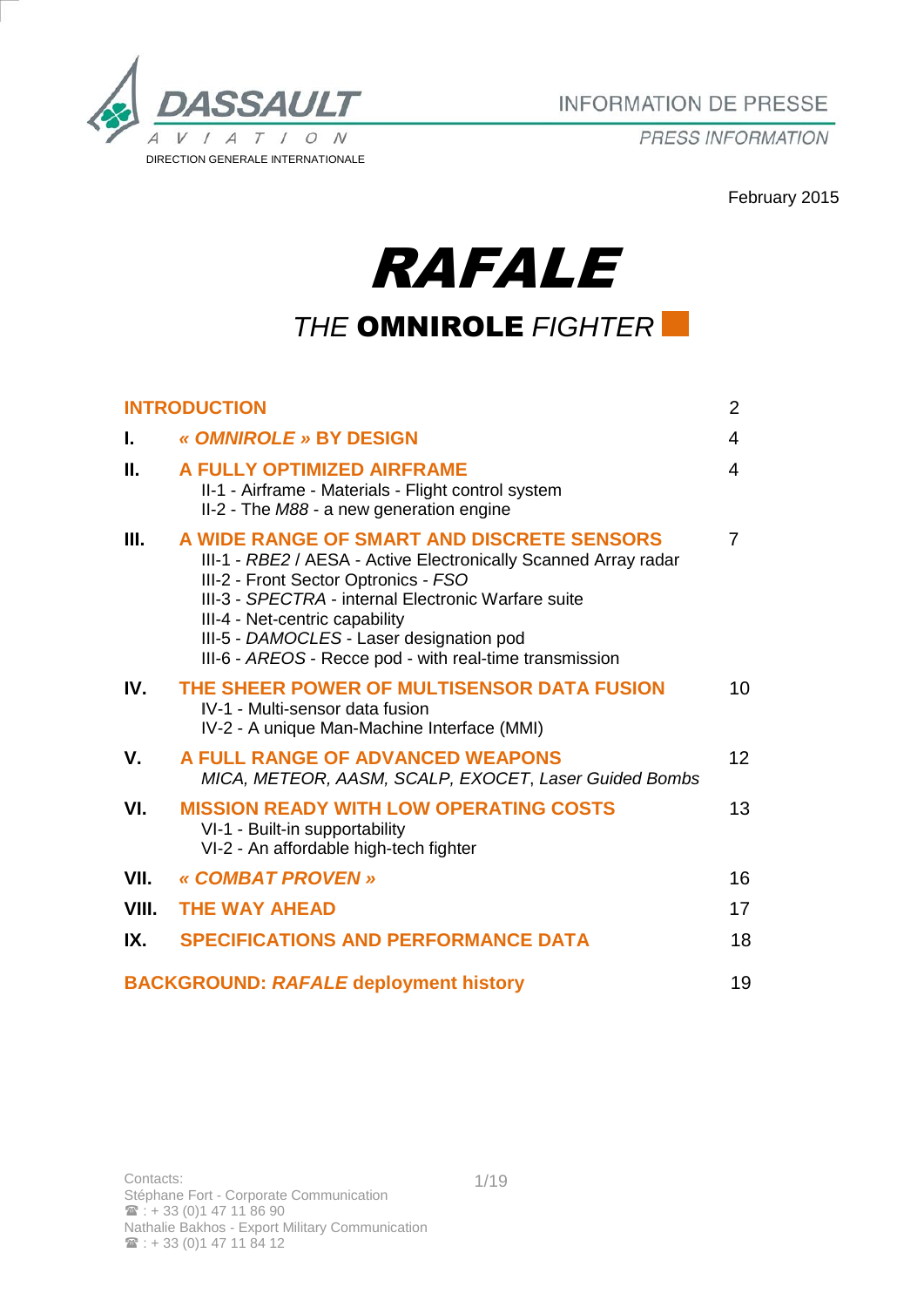

PRESS INFORMATION

February 2015

# RAFALE *THE* OMNIROLE *FIGHTER*

|       | <b>INTRODUCTION</b>                                                                                                                                                                                                                                                                                                                                   | 2  |
|-------|-------------------------------------------------------------------------------------------------------------------------------------------------------------------------------------------------------------------------------------------------------------------------------------------------------------------------------------------------------|----|
| L.    | « OMNIROLE » BY DESIGN                                                                                                                                                                                                                                                                                                                                | 4  |
| II.   | A FULLY OPTIMIZED AIRFRAME<br>II-1 - Airframe - Materials - Flight control system<br>II-2 - The M88 - a new generation engine                                                                                                                                                                                                                         | 4  |
| Ш.    | A WIDE RANGE OF SMART AND DISCRETE SENSORS<br>III-1 - RBE2 / AESA - Active Electronically Scanned Array radar<br>III-2 - Front Sector Optronics - FSO<br>III-3 - SPECTRA - internal Electronic Warfare suite<br>III-4 - Net-centric capability<br>III-5 - DAMOCLES - Laser designation pod<br>III-6 - AREOS - Recce pod - with real-time transmission | 7  |
| IV.   | THE SHEER POWER OF MULTISENSOR DATA FUSION<br>IV-1 - Multi-sensor data fusion<br>IV-2 - A unique Man-Machine Interface (MMI)                                                                                                                                                                                                                          | 10 |
| V.    | A FULL RANGE OF ADVANCED WEAPONS<br>MICA, METEOR, AASM, SCALP, EXOCET, Laser Guided Bombs                                                                                                                                                                                                                                                             | 12 |
| VI.   | <b>MISSION READY WITH LOW OPERATING COSTS</b><br>VI-1 - Built-in supportability<br>VI-2 - An affordable high-tech fighter                                                                                                                                                                                                                             | 13 |
| VII.  | « COMBAT PROVEN »                                                                                                                                                                                                                                                                                                                                     | 16 |
| VIII. | <b>THE WAY AHEAD</b>                                                                                                                                                                                                                                                                                                                                  | 17 |
| IX.   | <b>SPECIFICATIONS AND PERFORMANCE DATA</b>                                                                                                                                                                                                                                                                                                            | 18 |
|       | <b>BACKGROUND: RAFALE deployment history</b>                                                                                                                                                                                                                                                                                                          | 19 |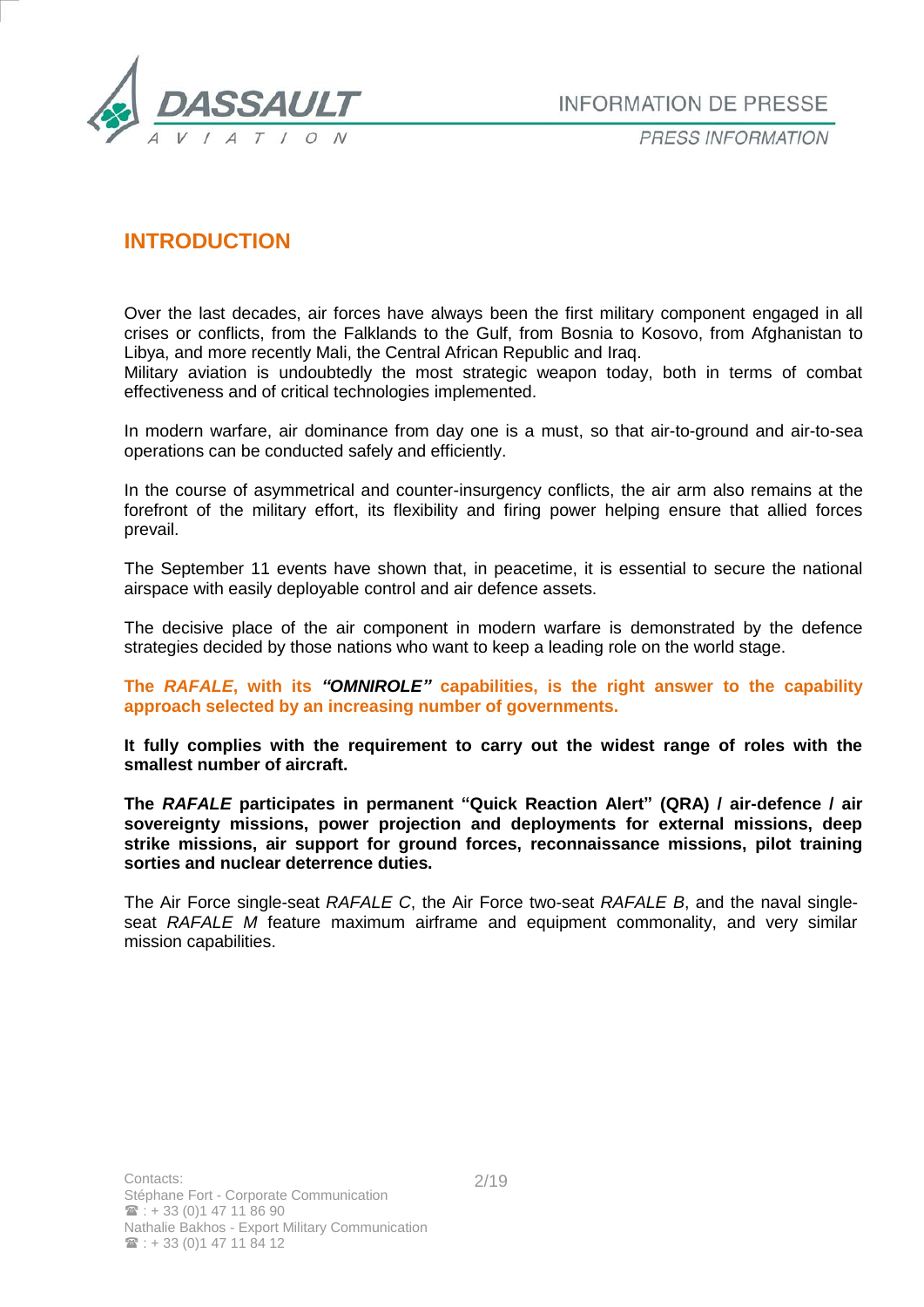

# **INTRODUCTION**

Over the last decades, air forces have always been the first military component engaged in all crises or conflicts, from the Falklands to the Gulf, from Bosnia to Kosovo, from Afghanistan to Libya, and more recently Mali, the Central African Republic and Iraq.

Military aviation is undoubtedly the most strategic weapon today, both in terms of combat effectiveness and of critical technologies implemented.

In modern warfare, air dominance from day one is a must, so that air-to-ground and air-to-sea operations can be conducted safely and efficiently.

In the course of asymmetrical and counter-insurgency conflicts, the air arm also remains at the forefront of the military effort, its flexibility and firing power helping ensure that allied forces prevail.

The September 11 events have shown that, in peacetime, it is essential to secure the national airspace with easily deployable control and air defence assets.

The decisive place of the air component in modern warfare is demonstrated by the defence strategies decided by those nations who want to keep a leading role on the world stage.

**The** *RAFALE***, with its** *"OMNIROLE"* **capabilities, is the right answer to the capability approach selected by an increasing number of governments.** 

**It fully complies with the requirement to carry out the widest range of roles with the smallest number of aircraft.**

**The** *RAFALE* **participates in permanent "Quick Reaction Alert" (QRA) / air-defence / air sovereignty missions, power projection and deployments for external missions, deep strike missions, air support for ground forces, reconnaissance missions, pilot training sorties and nuclear deterrence duties.**

The Air Force single-seat *RAFALE C*, the Air Force two-seat *RAFALE B*, and the naval singleseat *RAFALE M* feature maximum airframe and equipment commonality, and very similar mission capabilities.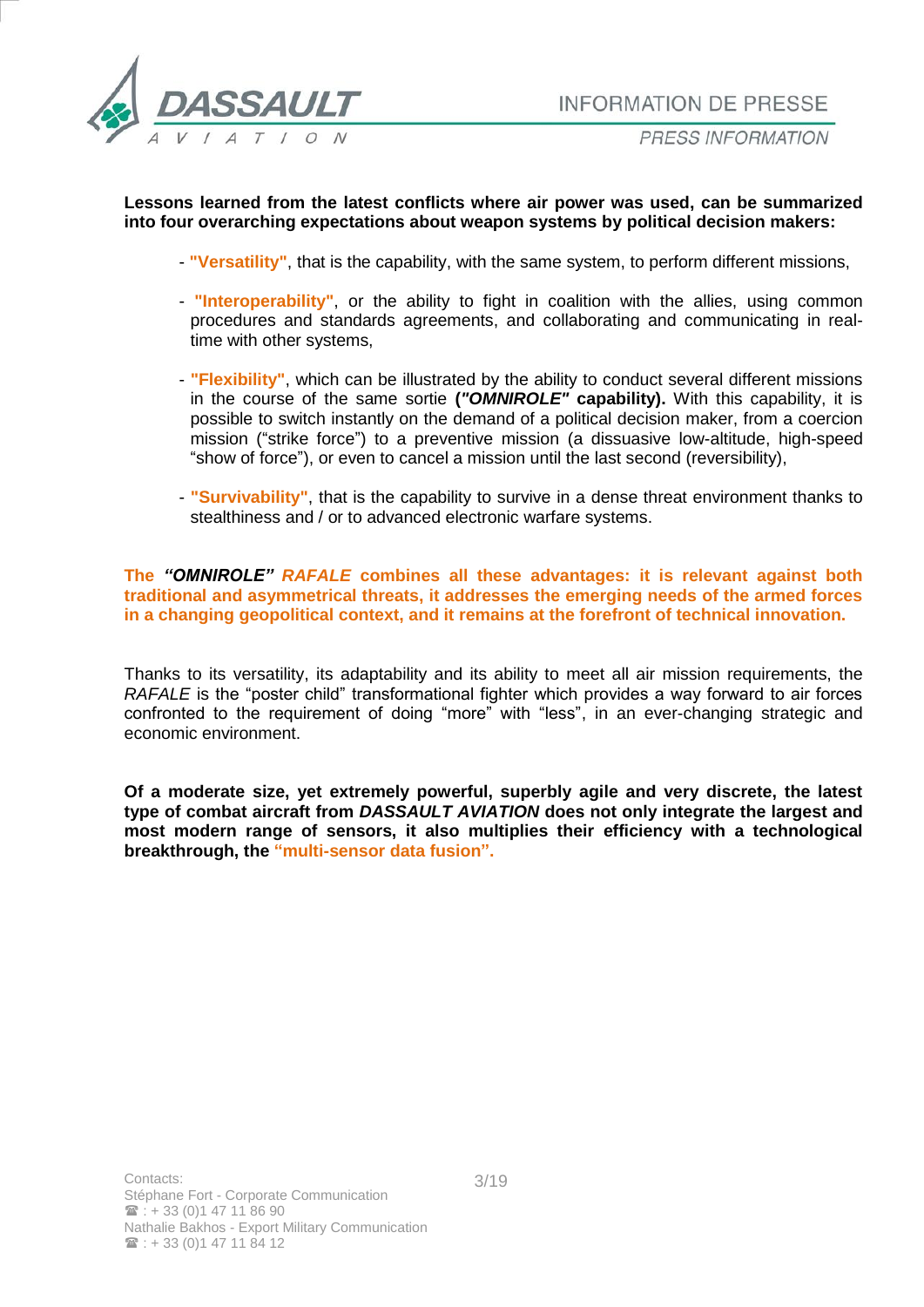

#### **Lessons learned from the latest conflicts where air power was used, can be summarized into four overarching expectations about weapon systems by political decision makers:**

- **"Versatility"**, that is the capability, with the same system, to perform different missions,
- **"Interoperability"**, or the ability to fight in coalition with the allies, using common procedures and standards agreements, and collaborating and communicating in realtime with other systems,
- **"Flexibility"**, which can be illustrated by the ability to conduct several different missions in the course of the same sortie **(***"OMNIROLE"* **capability).** With this capability, it is possible to switch instantly on the demand of a political decision maker, from a coercion mission ("strike force") to a preventive mission (a dissuasive low-altitude, high-speed "show of force"), or even to cancel a mission until the last second (reversibility),
- **"Survivability"**, that is the capability to survive in a dense threat environment thanks to stealthiness and / or to advanced electronic warfare systems.

**The** *"OMNIROLE" RAFALE* **combines all these advantages: it is relevant against both traditional and asymmetrical threats, it addresses the emerging needs of the armed forces in a changing geopolitical context, and it remains at the forefront of technical innovation.** 

Thanks to its versatility, its adaptability and its ability to meet all air mission requirements, the *RAFALE* is the "poster child" transformational fighter which provides a way forward to air forces confronted to the requirement of doing "more" with "less", in an ever-changing strategic and economic environment.

**Of a moderate size, yet extremely powerful, superbly agile and very discrete, the latest type of combat aircraft from** *DASSAULT AVIATION* **does not only integrate the largest and most modern range of sensors, it also multiplies their efficiency with a technological breakthrough, the "multi-sensor data fusion".**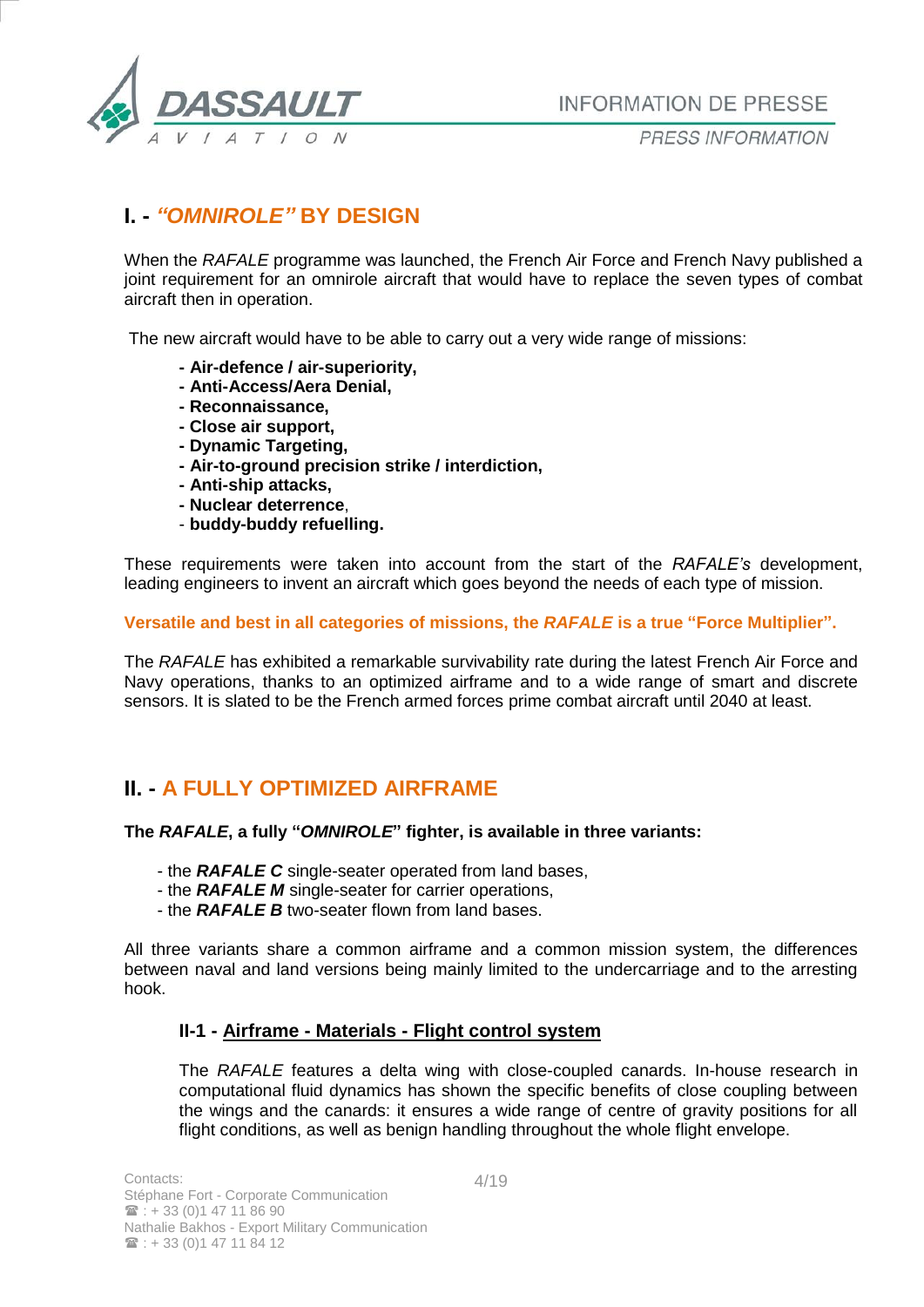

PRESS INFORMATION

# **I. -** *"OMNIROLE"* **BY DESIGN**

When the *RAFALE* programme was launched, the French Air Force and French Navy published a joint requirement for an omnirole aircraft that would have to replace the seven types of combat aircraft then in operation.

The new aircraft would have to be able to carry out a very wide range of missions:

- **- Air-defence / air-superiority,**
- **- Anti-Access/Aera Denial,**
- **- Reconnaissance,**
- **- Close air support,**
- **- Dynamic Targeting,**
- **- Air-to-ground precision strike / interdiction,**
- **- Anti-ship attacks,**
- **- Nuclear deterrence**,
- **buddy-buddy refuelling.**

These requirements were taken into account from the start of the *RAFALE's* development, leading engineers to invent an aircraft which goes beyond the needs of each type of mission.

**Versatile and best in all categories of missions, the** *RAFALE* **is a true "Force Multiplier".**

The *RAFALE* has exhibited a remarkable survivability rate during the latest French Air Force and Navy operations, thanks to an optimized airframe and to a wide range of smart and discrete sensors. It is slated to be the French armed forces prime combat aircraft until 2040 at least.

# **II. - A FULLY OPTIMIZED AIRFRAME**

#### **The** *RAFALE***, a fully "***OMNIROLE***" fighter, is available in three variants:**

- the *RAFALE C* single-seater operated from land bases,
- the *RAFALE M* single-seater for carrier operations,
- the *RAFALE B* two-seater flown from land bases.

All three variants share a common airframe and a common mission system, the differences between naval and land versions being mainly limited to the undercarriage and to the arresting hook.

## **II-1 - Airframe - Materials - Flight control system**

The *RAFALE* features a delta wing with close-coupled canards. In-house research in computational fluid dynamics has shown the specific benefits of close coupling between the wings and the canards: it ensures a wide range of centre of gravity positions for all flight conditions, as well as benign handling throughout the whole flight envelope.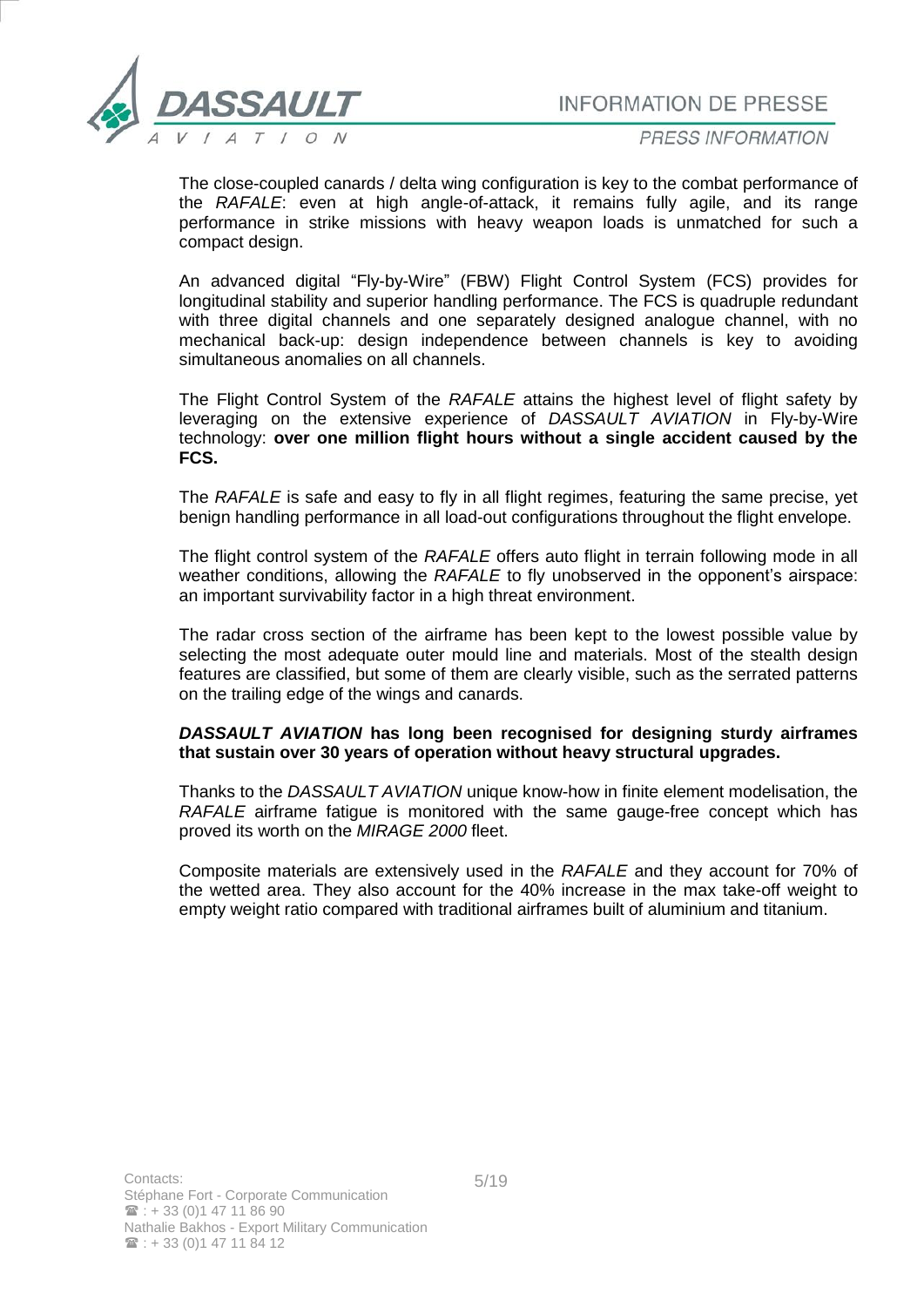

PRESS INFORMATION

The close-coupled canards / delta wing configuration is key to the combat performance of the *RAFALE*: even at high angle-of-attack, it remains fully agile, and its range performance in strike missions with heavy weapon loads is unmatched for such a compact design.

An advanced digital "Fly-by-Wire" (FBW) Flight Control System (FCS) provides for longitudinal stability and superior handling performance. The FCS is quadruple redundant with three digital channels and one separately designed analogue channel, with no mechanical back-up: design independence between channels is key to avoiding simultaneous anomalies on all channels.

The Flight Control System of the *RAFALE* attains the highest level of flight safety by leveraging on the extensive experience of *DASSAULT AVIATION* in Fly-by-Wire technology: **over one million flight hours without a single accident caused by the FCS.**

The *RAFALE* is safe and easy to fly in all flight regimes, featuring the same precise, yet benign handling performance in all load-out configurations throughout the flight envelope.

The flight control system of the *RAFALE* offers auto flight in terrain following mode in all weather conditions, allowing the *RAFALE* to fly unobserved in the opponent's airspace: an important survivability factor in a high threat environment.

The radar cross section of the airframe has been kept to the lowest possible value by selecting the most adequate outer mould line and materials. Most of the stealth design features are classified, but some of them are clearly visible, such as the serrated patterns on the trailing edge of the wings and canards.

#### *DASSAULT AVIATION* **has long been recognised for designing sturdy airframes that sustain over 30 years of operation without heavy structural upgrades.**

Thanks to the *DASSAULT AVIATION* unique know-how in finite element modelisation, the *RAFALE* airframe fatigue is monitored with the same gauge-free concept which has proved its worth on the *MIRAGE 2000* fleet.

Composite materials are extensively used in the *RAFALE* and they account for 70% of the wetted area. They also account for the 40% increase in the max take-off weight to empty weight ratio compared with traditional airframes built of aluminium and titanium.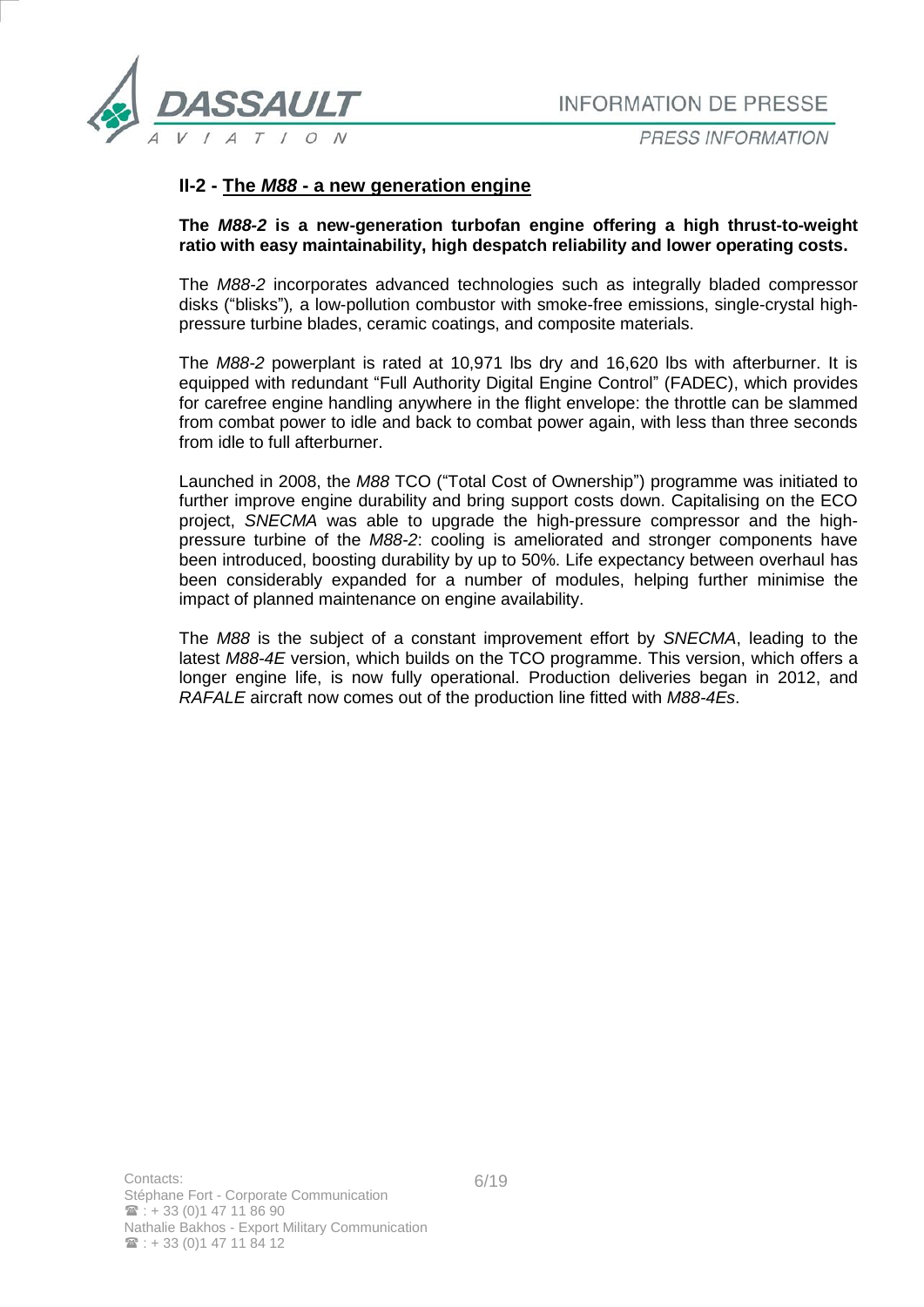

**PRESS INFORMATION** 

## **II-2 - The** *M88* **- a new generation engine**

**The** *M88-2* **is a new-generation turbofan engine offering a high thrust-to-weight ratio with easy maintainability, high despatch reliability and lower operating costs.**

The *M88-2* incorporates advanced technologies such as integrally bladed compressor disks ("blisks")*,* a low-pollution combustor with smoke-free emissions, single-crystal highpressure turbine blades, ceramic coatings, and composite materials.

The *M88-2* powerplant is rated at 10,971 lbs dry and 16,620 lbs with afterburner. It is equipped with redundant "Full Authority Digital Engine Control" (FADEC), which provides for carefree engine handling anywhere in the flight envelope: the throttle can be slammed from combat power to idle and back to combat power again, with less than three seconds from idle to full afterburner.

Launched in 2008, the *M88* TCO ("Total Cost of Ownership") programme was initiated to further improve engine durability and bring support costs down. Capitalising on the ECO project, *SNECMA* was able to upgrade the high-pressure compressor and the highpressure turbine of the *M88-2*: cooling is ameliorated and stronger components have been introduced, boosting durability by up to 50%. Life expectancy between overhaul has been considerably expanded for a number of modules, helping further minimise the impact of planned maintenance on engine availability.

The *M88* is the subject of a constant improvement effort by *SNECMA*, leading to the latest *M88-4E* version, which builds on the TCO programme. This version, which offers a longer engine life, is now fully operational. Production deliveries began in 2012, and *RAFALE* aircraft now comes out of the production line fitted with *M88-4Es*.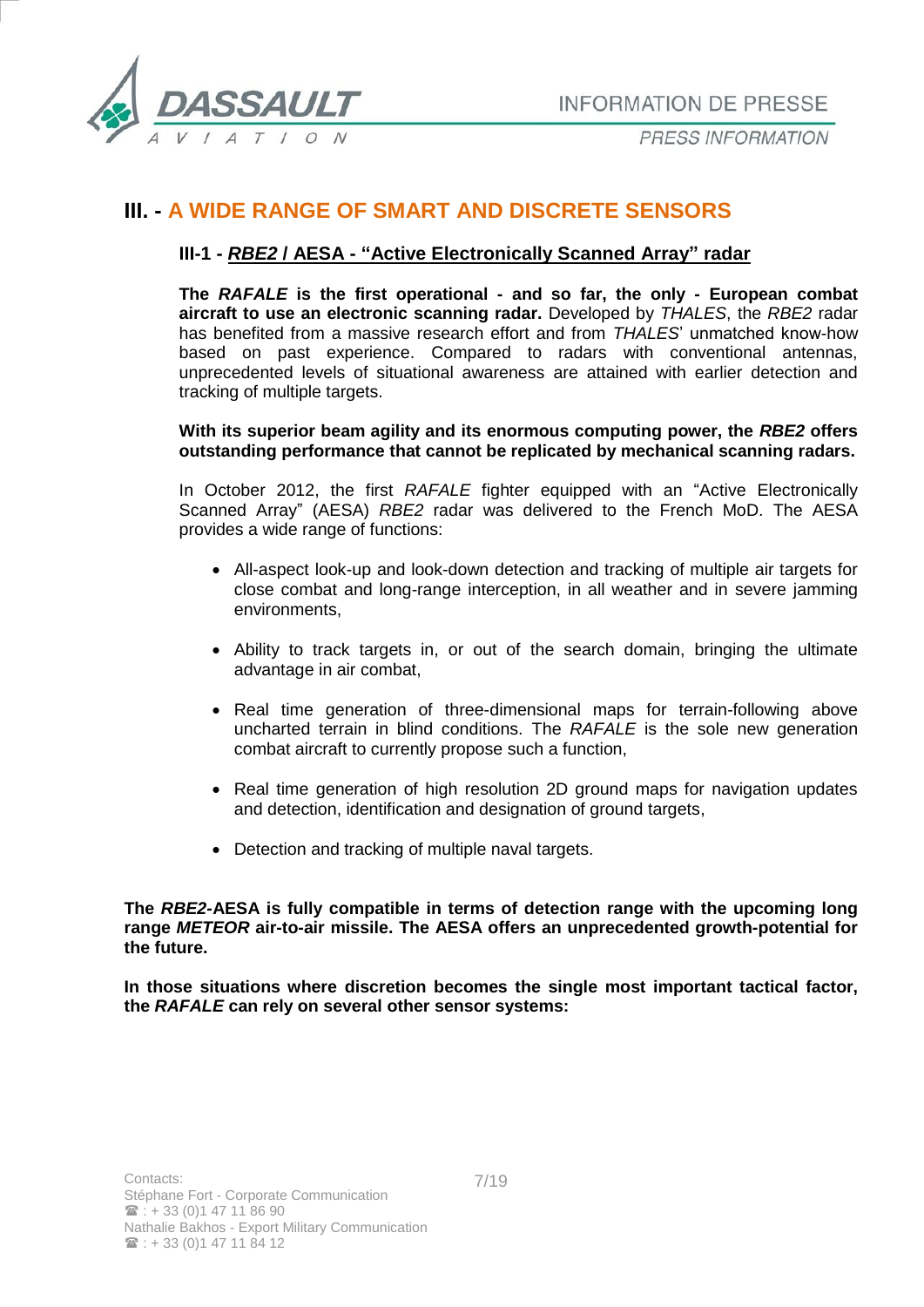

# **III. - A WIDE RANGE OF SMART AND DISCRETE SENSORS**

## **III-1 -** *RBE2* **/ AESA - "Active Electronically Scanned Array" radar**

**The** *RAFALE* **is the first operational - and so far, the only - European combat aircraft to use an electronic scanning radar.** Developed by *THALES*, the *RBE2* radar has benefited from a massive research effort and from *THALES*' unmatched know-how based on past experience. Compared to radars with conventional antennas, unprecedented levels of situational awareness are attained with earlier detection and tracking of multiple targets.

#### **With its superior beam agility and its enormous computing power, the** *RBE2* **offers outstanding performance that cannot be replicated by mechanical scanning radars.**

In October 2012, the first *RAFALE* fighter equipped with an "Active Electronically Scanned Array" (AESA) *RBE2* radar was delivered to the French MoD. The AESA provides a wide range of functions:

- All-aspect look-up and look-down detection and tracking of multiple air targets for close combat and long-range interception, in all weather and in severe jamming environments,
- Ability to track targets in, or out of the search domain, bringing the ultimate advantage in air combat,
- Real time generation of three-dimensional maps for terrain-following above uncharted terrain in blind conditions. The *RAFALE* is the sole new generation combat aircraft to currently propose such a function,
- Real time generation of high resolution 2D ground maps for navigation updates and detection, identification and designation of ground targets,
- Detection and tracking of multiple naval targets.

**The** *RBE2-***AESA is fully compatible in terms of detection range with the upcoming long range** *METEOR* **air-to-air missile. The AESA offers an unprecedented growth-potential for the future.**

**In those situations where discretion becomes the single most important tactical factor, the** *RAFALE* **can rely on several other sensor systems:**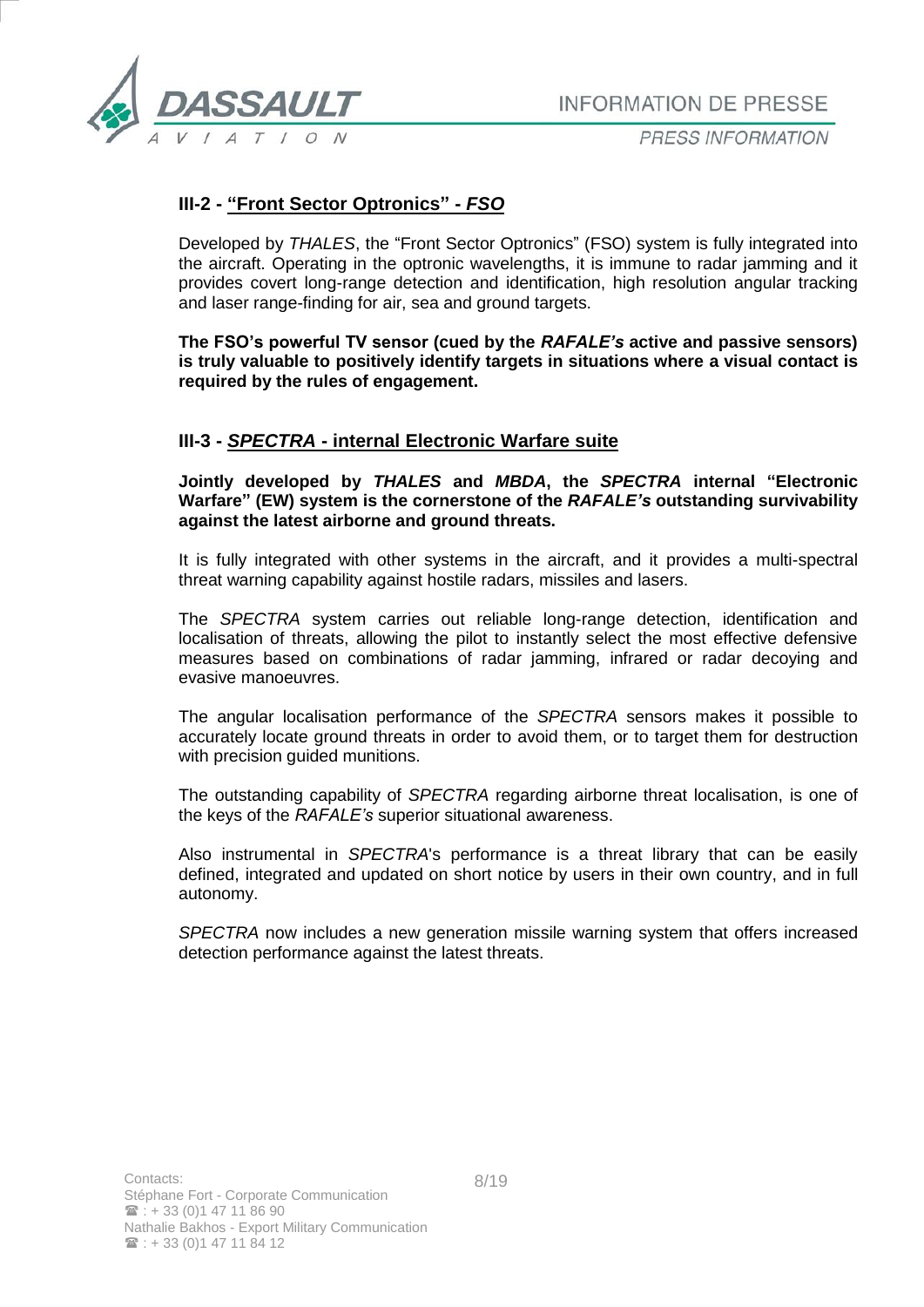

## **III-2 - "Front Sector Optronics" -** *FSO*

Developed by *THALES*, the "Front Sector Optronics" (FSO) system is fully integrated into the aircraft. Operating in the optronic wavelengths, it is immune to radar jamming and it provides covert long-range detection and identification, high resolution angular tracking and laser range-finding for air, sea and ground targets.

**The FSO's powerful TV sensor (cued by the** *RAFALE's* **active and passive sensors) is truly valuable to positively identify targets in situations where a visual contact is required by the rules of engagement.**

### **III-3 -** *SPECTRA* **- internal Electronic Warfare suite**

**Jointly developed by** *THALES* **and** *MBDA***, the** *SPECTRA* **internal "Electronic Warfare" (EW) system is the cornerstone of the** *RAFALE's* **outstanding survivability against the latest airborne and ground threats.** 

It is fully integrated with other systems in the aircraft, and it provides a multi-spectral threat warning capability against hostile radars, missiles and lasers.

The *SPECTRA* system carries out reliable long-range detection, identification and localisation of threats, allowing the pilot to instantly select the most effective defensive measures based on combinations of radar jamming, infrared or radar decoying and evasive manoeuvres.

The angular localisation performance of the *SPECTRA* sensors makes it possible to accurately locate ground threats in order to avoid them, or to target them for destruction with precision guided munitions.

The outstanding capability of *SPECTRA* regarding airborne threat localisation, is one of the keys of the *RAFALE's* superior situational awareness.

Also instrumental in *SPECTRA*'s performance is a threat library that can be easily defined, integrated and updated on short notice by users in their own country, and in full autonomy.

*SPECTRA* now includes a new generation missile warning system that offers increased detection performance against the latest threats.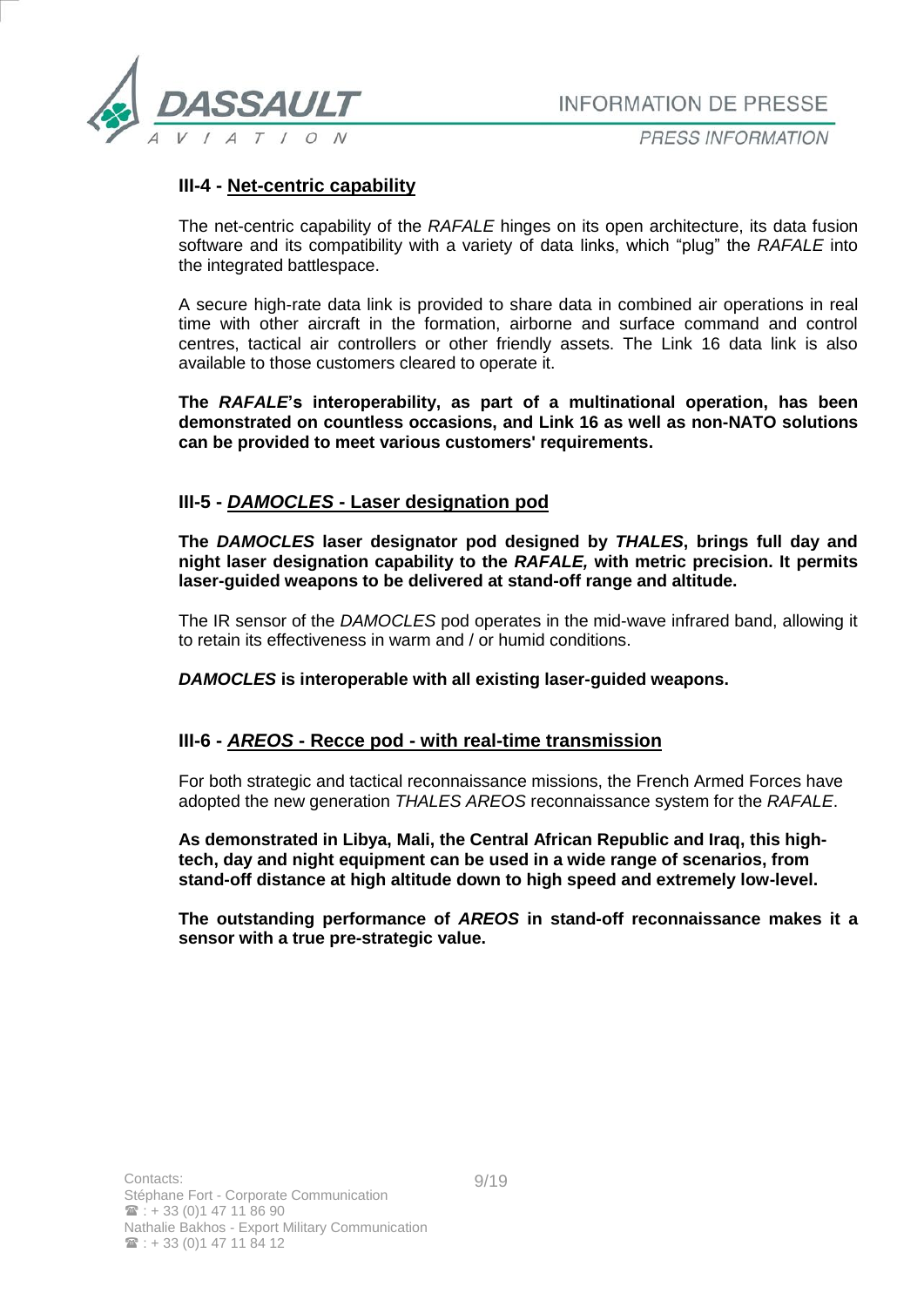

PRESS INFORMATION

## **III-4 - Net-centric capability**

The net-centric capability of the *RAFALE* hinges on its open architecture, its data fusion software and its compatibility with a variety of data links, which "plug" the *RAFALE* into the integrated battlespace.

A secure high-rate data link is provided to share data in combined air operations in real time with other aircraft in the formation, airborne and surface command and control centres, tactical air controllers or other friendly assets. The Link 16 data link is also available to those customers cleared to operate it.

**The** *RAFALE***'s interoperability, as part of a multinational operation, has been demonstrated on countless occasions, and Link 16 as well as non-NATO solutions can be provided to meet various customers' requirements.**

## **III-5 -** *DAMOCLES* **- Laser designation pod**

**The** *DAMOCLES* **laser designator pod designed by** *THALES***, brings full day and night laser designation capability to the** *RAFALE,* **with metric precision. It permits laser-guided weapons to be delivered at stand-off range and altitude.** 

The IR sensor of the *DAMOCLES* pod operates in the mid-wave infrared band, allowing it to retain its effectiveness in warm and / or humid conditions.

*DAMOCLES* **is interoperable with all existing laser-guided weapons.**

### **III-6 -** *AREOS* **- Recce pod - with real-time transmission**

For both strategic and tactical reconnaissance missions, the French Armed Forces have adopted the new generation *THALES AREOS* reconnaissance system for the *RAFALE*.

**As demonstrated in Libya, Mali, the Central African Republic and Iraq, this hightech, day and night equipment can be used in a wide range of scenarios, from stand-off distance at high altitude down to high speed and extremely low-level.** 

**The outstanding performance of** *AREOS* **in stand-off reconnaissance makes it a sensor with a true pre-strategic value.**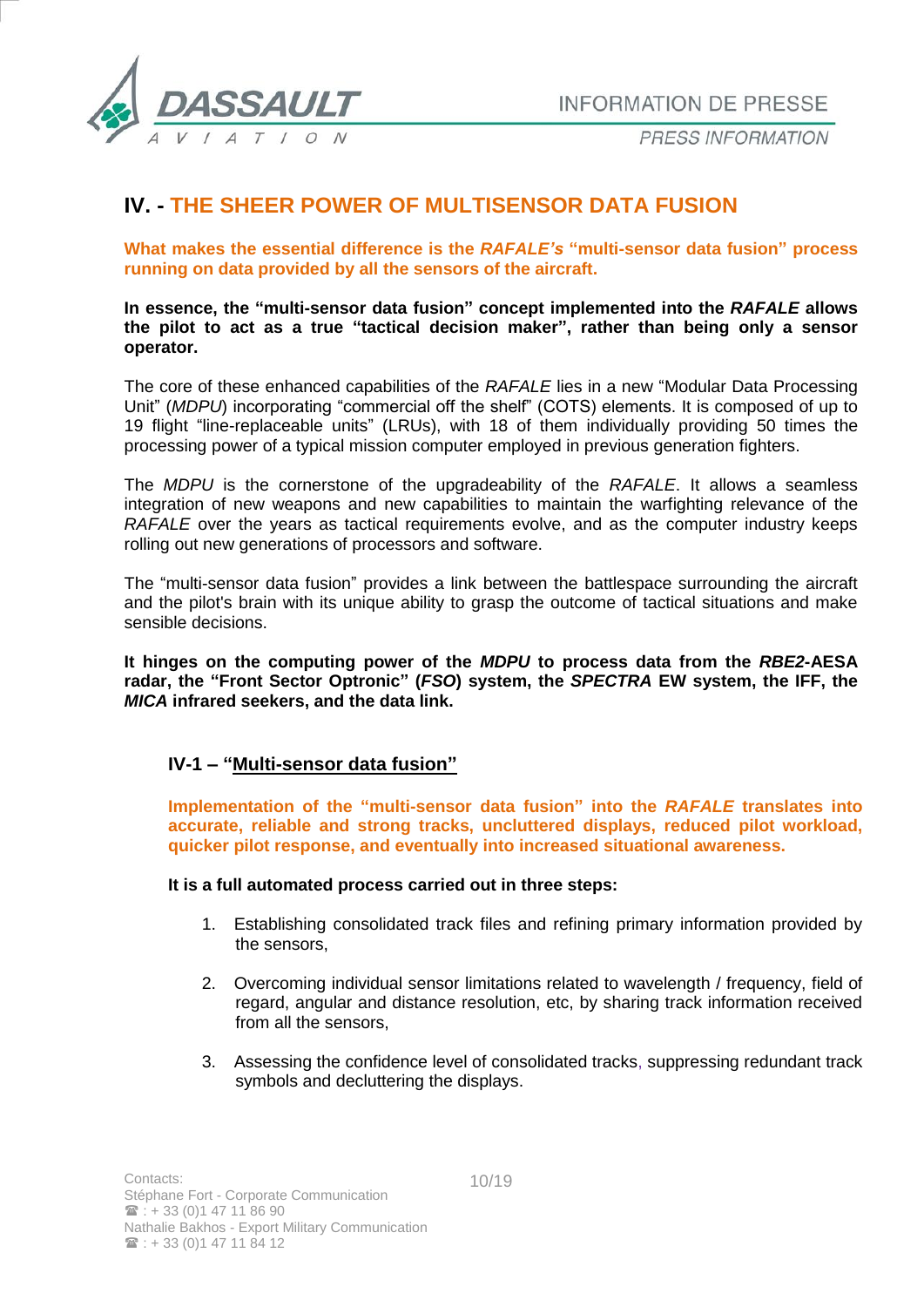

PRESS INFORMATION

# **IV. - THE SHEER POWER OF MULTISENSOR DATA FUSION**

**What makes the essential difference is the** *RAFALE's* **"multi-sensor data fusion" process running on data provided by all the sensors of the aircraft.** 

**In essence, the "multi-sensor data fusion" concept implemented into the** *RAFALE* **allows the pilot to act as a true "tactical decision maker", rather than being only a sensor operator.**

The core of these enhanced capabilities of the *RAFALE* lies in a new "Modular Data Processing Unit" (*MDPU*) incorporating "commercial off the shelf" (COTS) elements. It is composed of up to 19 flight "line-replaceable units" (LRUs), with 18 of them individually providing 50 times the processing power of a typical mission computer employed in previous generation fighters.

The *MDPU* is the cornerstone of the upgradeability of the *RAFALE*. It allows a seamless integration of new weapons and new capabilities to maintain the warfighting relevance of the *RAFALE* over the years as tactical requirements evolve, and as the computer industry keeps rolling out new generations of processors and software.

The "multi-sensor data fusion" provides a link between the battlespace surrounding the aircraft and the pilot's brain with its unique ability to grasp the outcome of tactical situations and make sensible decisions.

**It hinges on the computing power of the** *MDPU* **to process data from the** *RBE2***-AESA radar, the "Front Sector Optronic" (***FSO***) system, the** *SPECTRA* **EW system, the IFF, the** *MICA* **infrared seekers, and the data link.**

### **IV-1 – "Multi-sensor data fusion"**

**Implementation of the "multi-sensor data fusion" into the** *RAFALE* **translates into accurate, reliable and strong tracks, uncluttered displays, reduced pilot workload, quicker pilot response, and eventually into increased situational awareness.**

#### **It is a full automated process carried out in three steps:**

- 1. Establishing consolidated track files and refining primary information provided by the sensors,
- 2. Overcoming individual sensor limitations related to wavelength / frequency, field of regard, angular and distance resolution, etc, by sharing track information received from all the sensors,
- 3. Assessing the confidence level of consolidated tracks, suppressing redundant track symbols and decluttering the displays.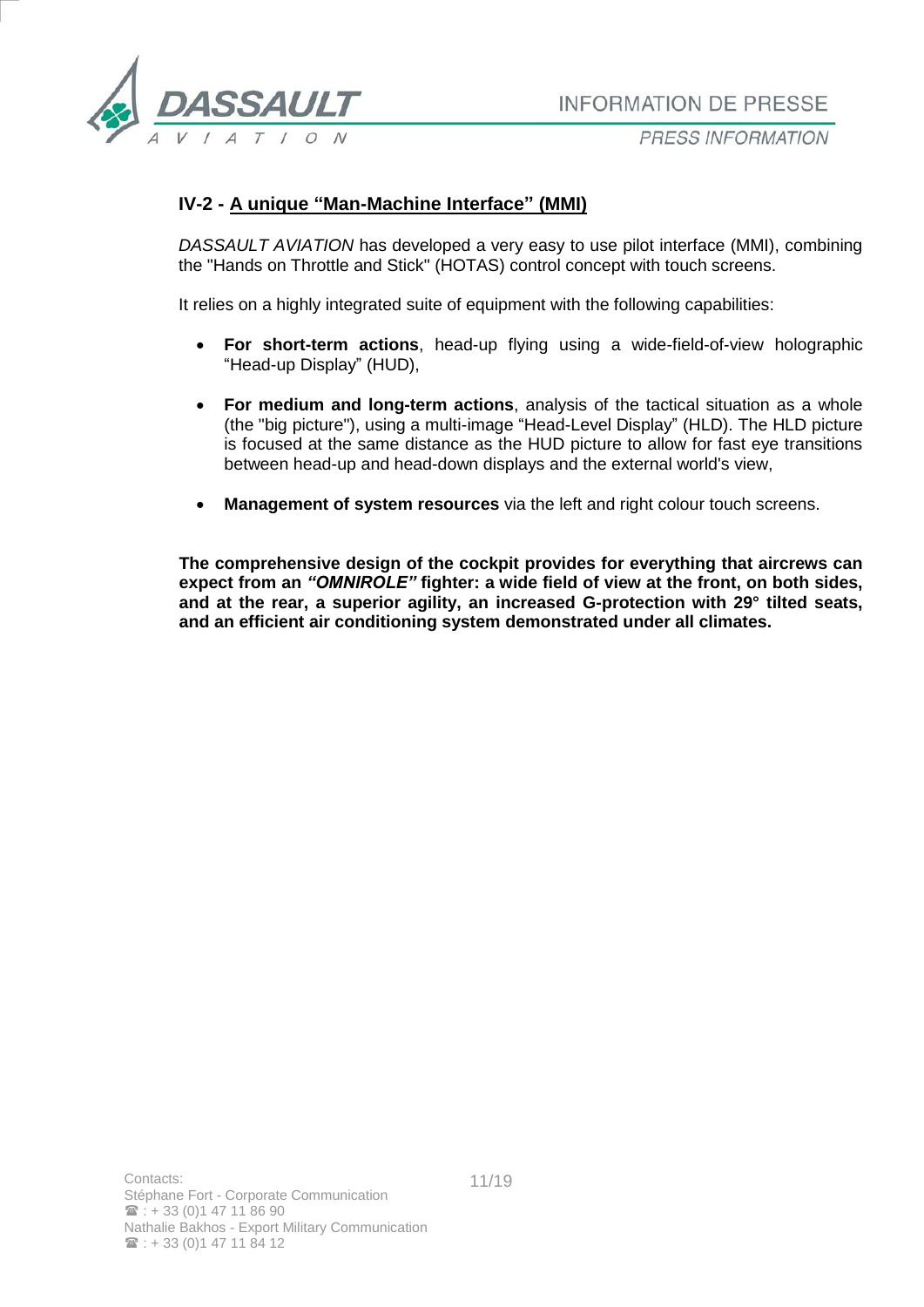

## **IV-2 - A unique "Man-Machine Interface" (MMI)**

*DASSAULT AVIATION* has developed a very easy to use pilot interface (MMI), combining the "Hands on Throttle and Stick" (HOTAS) control concept with touch screens.

It relies on a highly integrated suite of equipment with the following capabilities:

- **For short-term actions**, head-up flying using a wide-field-of-view holographic "Head-up Display" (HUD),
- **For medium and long-term actions**, analysis of the tactical situation as a whole (the "big picture"), using a multi-image "Head-Level Display" (HLD). The HLD picture is focused at the same distance as the HUD picture to allow for fast eye transitions between head-up and head-down displays and the external world's view,
- **Management of system resources** via the left and right colour touch screens.

**The comprehensive design of the cockpit provides for everything that aircrews can expect from an** *"OMNIROLE"* **fighter: a wide field of view at the front, on both sides, and at the rear, a superior agility, an increased G-protection with 29° tilted seats, and an efficient air conditioning system demonstrated under all climates.**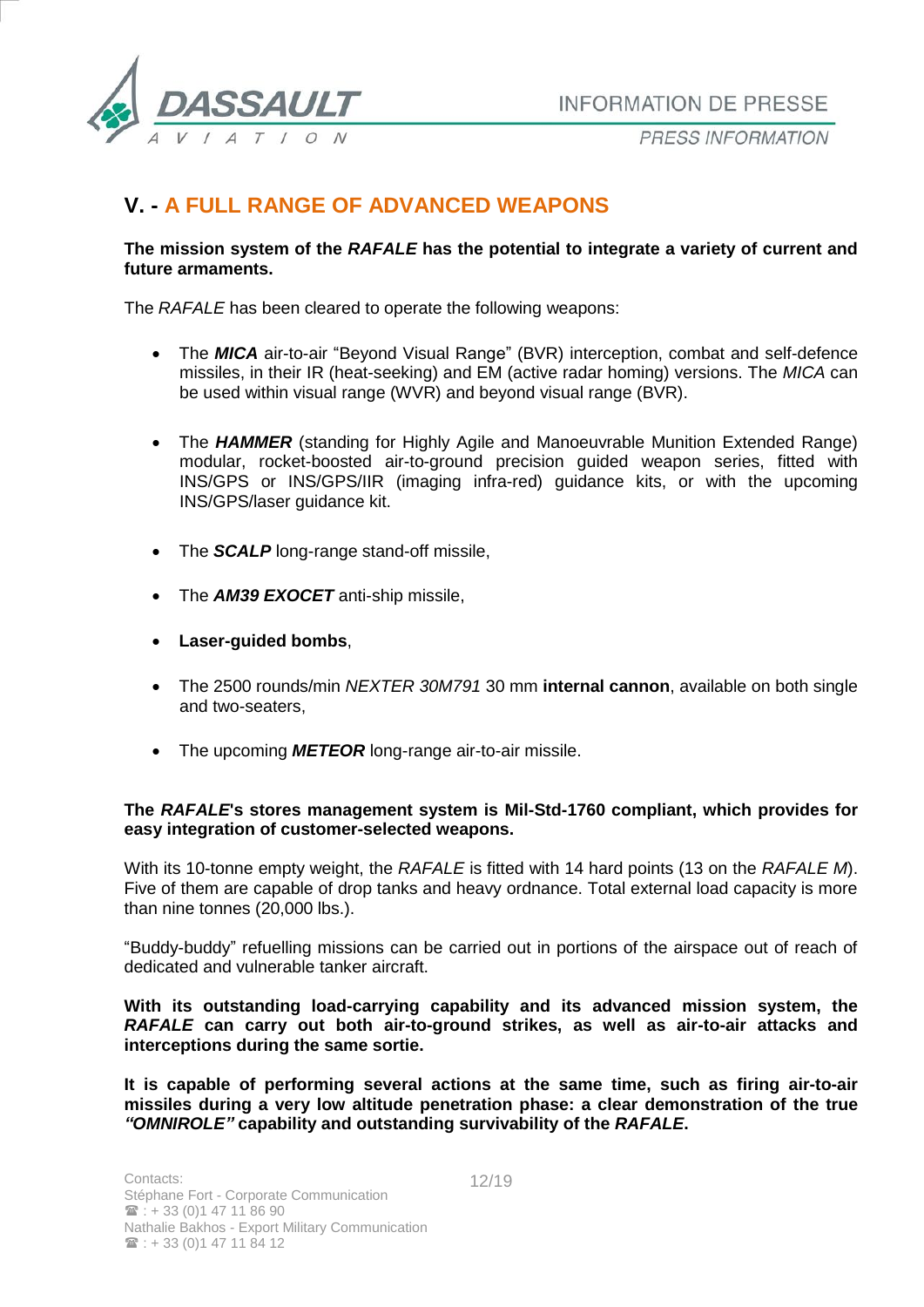

PRESS INFORMATION

# **V. - A FULL RANGE OF ADVANCED WEAPONS**

### **The mission system of the** *RAFALE* **has the potential to integrate a variety of current and future armaments.**

The *RAFALE* has been cleared to operate the following weapons:

- The **MICA** air-to-air "Beyond Visual Range" (BVR) interception, combat and self-defence missiles, in their IR (heat-seeking) and EM (active radar homing) versions. The *MICA* can be used within visual range (WVR) and beyond visual range (BVR).
- The **HAMMER** (standing for Highly Agile and Manoeuvrable Munition Extended Range) modular, rocket-boosted air-to-ground precision guided weapon series, fitted with INS/GPS or INS/GPS/IIR (imaging infra-red) guidance kits, or with the upcoming INS/GPS/laser guidance kit.
- The **SCALP** long-range stand-off missile,
- The **AM39 EXOCET** anti-ship missile,
- **Laser-guided bombs**,
- The 2500 rounds/min *NEXTER 30M791* 30 mm **internal cannon**, available on both single and two-seaters,
- The upcoming **METEOR** long-range air-to-air missile.

#### **The** *RAFALE***'s stores management system is Mil-Std-1760 compliant, which provides for easy integration of customer-selected weapons.**

With its 10-tonne empty weight, the *RAFALE* is fitted with 14 hard points (13 on the *RAFALE M*). Five of them are capable of drop tanks and heavy ordnance. Total external load capacity is more than nine tonnes (20,000 lbs.).

"Buddy-buddy" refuelling missions can be carried out in portions of the airspace out of reach of dedicated and vulnerable tanker aircraft.

**With its outstanding load-carrying capability and its advanced mission system, the**  *RAFALE* **can carry out both air-to-ground strikes, as well as air-to-air attacks and interceptions during the same sortie.** 

**It is capable of performing several actions at the same time, such as firing air-to-air missiles during a very low altitude penetration phase: a clear demonstration of the true**  *"OMNIROLE"* **capability and outstanding survivability of the** *RAFALE***.**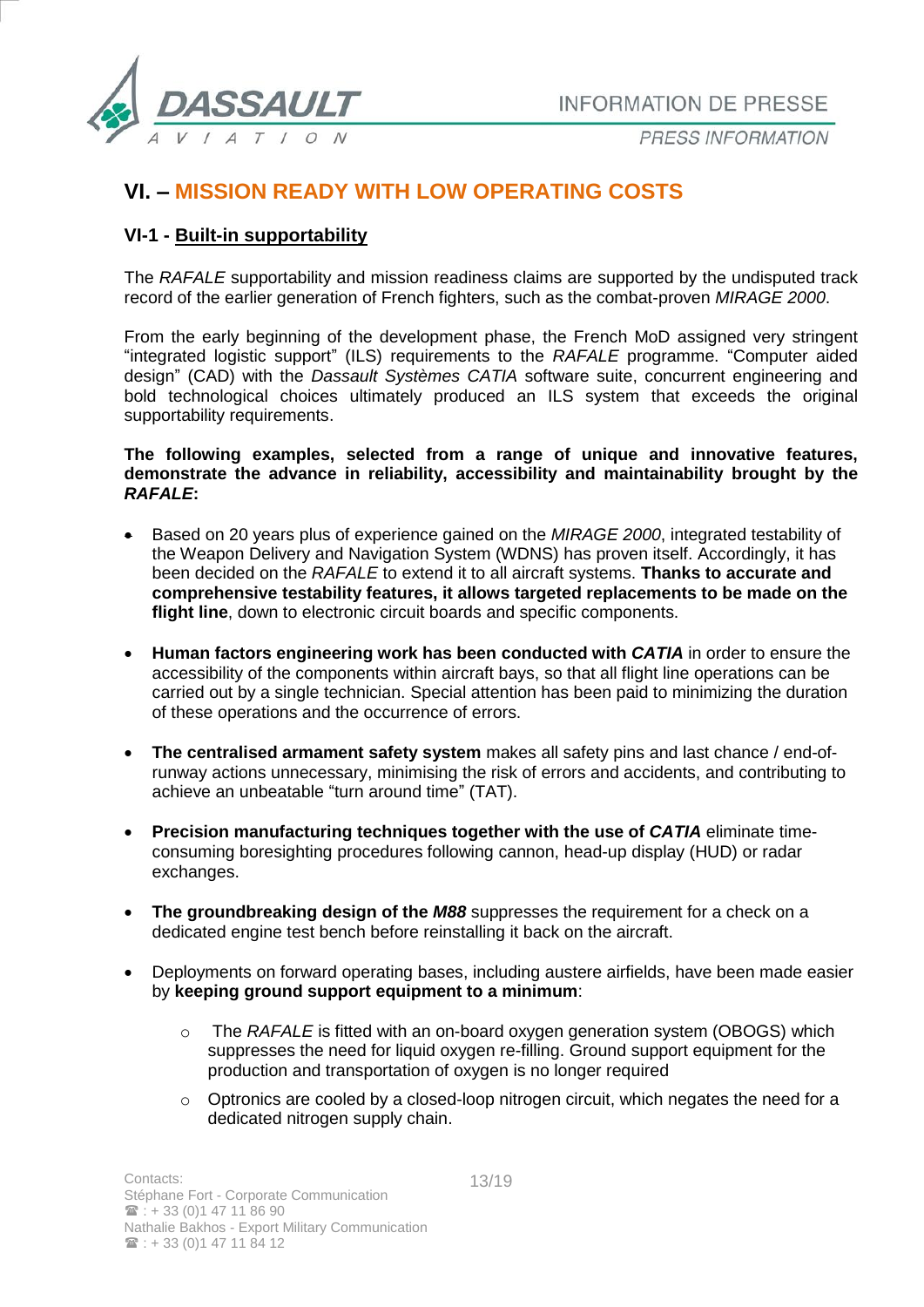

# **VI. – MISSION READY WITH LOW OPERATING COSTS**

## **VI-1 - Built-in supportability**

The *RAFALE* supportability and mission readiness claims are supported by the undisputed track record of the earlier generation of French fighters, such as the combat-proven *MIRAGE 2000*.

From the early beginning of the development phase, the French MoD assigned very stringent "integrated logistic support" (ILS) requirements to the *RAFALE* programme. "Computer aided design" (CAD) with the *Dassault Systèmes CATIA* software suite, concurrent engineering and bold technological choices ultimately produced an ILS system that exceeds the original supportability requirements.

#### **The following examples, selected from a range of unique and innovative features, demonstrate the advance in reliability, accessibility and maintainability brought by the**  *RAFALE***:**

- Based on 20 years plus of experience gained on the *MIRAGE 2000*, integrated testability of the Weapon Delivery and Navigation System (WDNS) has proven itself. Accordingly, it has been decided on the *RAFALE* to extend it to all aircraft systems. **Thanks to accurate and comprehensive testability features, it allows targeted replacements to be made on the flight line**, down to electronic circuit boards and specific components.
- **Human factors engineering work has been conducted with** *CATIA* in order to ensure the accessibility of the components within aircraft bays, so that all flight line operations can be carried out by a single technician. Special attention has been paid to minimizing the duration of these operations and the occurrence of errors.
- **The centralised armament safety system** makes all safety pins and last chance / end-ofrunway actions unnecessary, minimising the risk of errors and accidents, and contributing to achieve an unbeatable "turn around time" (TAT).
- **Precision manufacturing techniques together with the use of** *CATIA* **eliminate time**consuming boresighting procedures following cannon, head-up display (HUD) or radar exchanges.
- **The groundbreaking design of the** *M88* suppresses the requirement for a check on a dedicated engine test bench before reinstalling it back on the aircraft.
- Deployments on forward operating bases, including austere airfields, have been made easier by **keeping ground support equipment to a minimum**:
	- o The *RAFALE* is fitted with an on-board oxygen generation system (OBOGS) which suppresses the need for liquid oxygen re-filling. Ground support equipment for the production and transportation of oxygen is no longer required
	- o Optronics are cooled by a closed-loop nitrogen circuit, which negates the need for a dedicated nitrogen supply chain.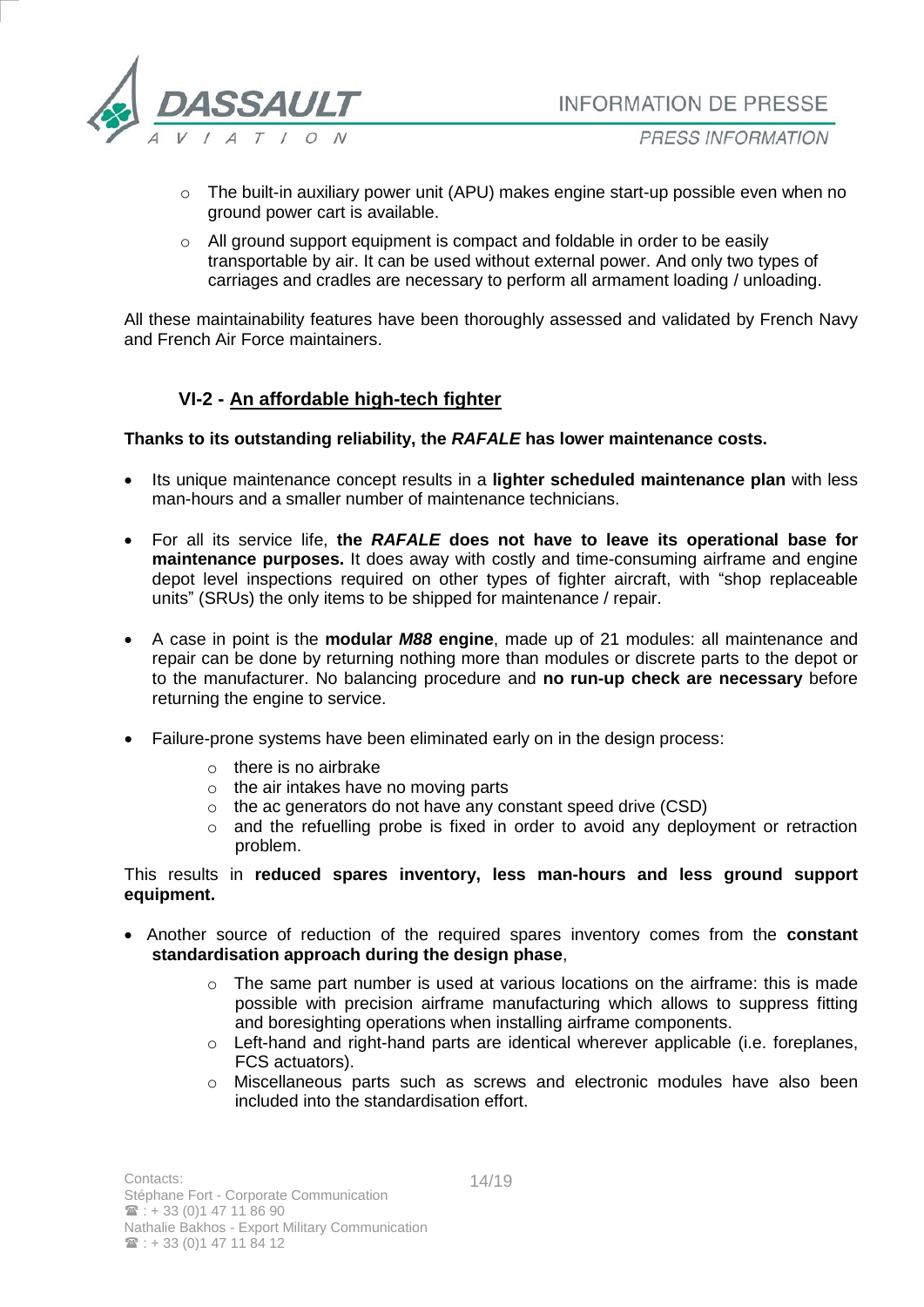

- o The built-in auxiliary power unit (APU) makes engine start-up possible even when no ground power cart is available.
- o All ground support equipment is compact and foldable in order to be easily transportable by air. It can be used without external power. And only two types of carriages and cradles are necessary to perform all armament loading / unloading.

All these maintainability features have been thoroughly assessed and validated by French Navy and French Air Force maintainers.

## **VI-2 - An affordable high-tech fighter**

**Thanks to its outstanding reliability, the** *RAFALE* **has lower maintenance costs.** 

- Its unique maintenance concept results in a **lighter scheduled maintenance plan** with less man-hours and a smaller number of maintenance technicians.
- For all its service life, **the** *RAFALE* **does not have to leave its operational base for maintenance purposes.** It does away with costly and time-consuming airframe and engine depot level inspections required on other types of fighter aircraft, with "shop replaceable units" (SRUs) the only items to be shipped for maintenance / repair.
- A case in point is the **modular** *M88* **engine**, made up of 21 modules: all maintenance and repair can be done by returning nothing more than modules or discrete parts to the depot or to the manufacturer. No balancing procedure and **no run-up check are necessary** before returning the engine to service.
- Failure-prone systems have been eliminated early on in the design process:
	- o there is no airbrake
	- o the air intakes have no moving parts
	- o the ac generators do not have any constant speed drive (CSD)
	- o and the refuelling probe is fixed in order to avoid any deployment or retraction problem.

#### This results in **reduced spares inventory, less man-hours and less ground support equipment.**

- Another source of reduction of the required spares inventory comes from the **constant standardisation approach during the design phase**,
	- o The same part number is used at various locations on the airframe: this is made possible with precision airframe manufacturing which allows to suppress fitting and boresighting operations when installing airframe components.
	- o Left-hand and right-hand parts are identical wherever applicable (i.e. foreplanes, FCS actuators).
	- o Miscellaneous parts such as screws and electronic modules have also been included into the standardisation effort.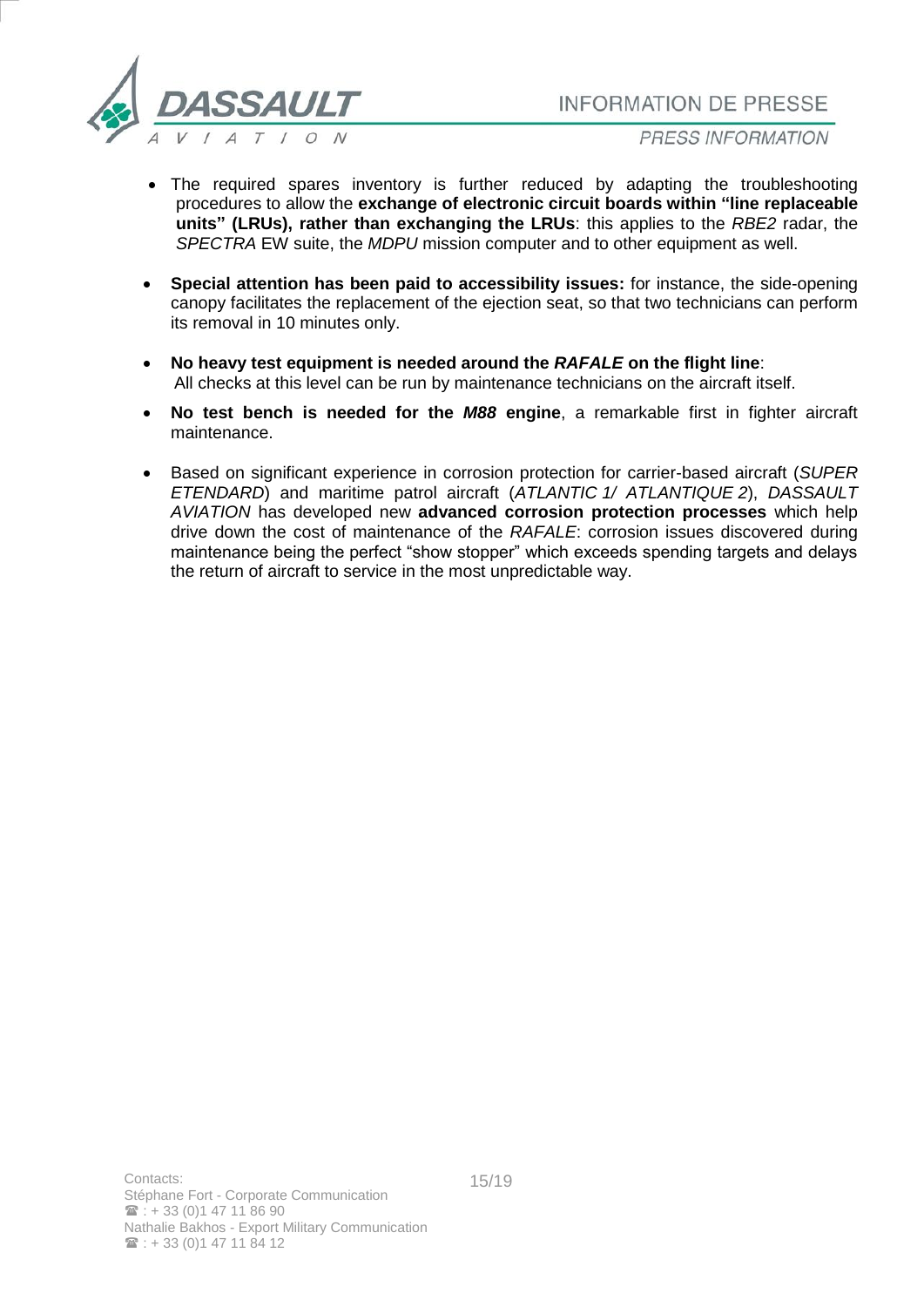

- The required spares inventory is further reduced by adapting the troubleshooting procedures to allow the **exchange of electronic circuit boards within "line replaceable units" (LRUs), rather than exchanging the LRUs**: this applies to the *RBE2* radar, the *SPECTRA* EW suite, the *MDPU* mission computer and to other equipment as well.
- **Special attention has been paid to accessibility issues:** for instance, the side-opening canopy facilitates the replacement of the ejection seat, so that two technicians can perform its removal in 10 minutes only.
- **No heavy test equipment is needed around the** *RAFALE* **on the flight line**: All checks at this level can be run by maintenance technicians on the aircraft itself.
- **No test bench is needed for the** *M88* **engine**, a remarkable first in fighter aircraft maintenance.
- Based on significant experience in corrosion protection for carrier-based aircraft (*SUPER ETENDARD*) and maritime patrol aircraft (*ATLANTIC 1/ ATLANTIQUE 2*), *DASSAULT AVIATION* has developed new **advanced corrosion protection processes** which help drive down the cost of maintenance of the *RAFALE*: corrosion issues discovered during maintenance being the perfect "show stopper" which exceeds spending targets and delays the return of aircraft to service in the most unpredictable way.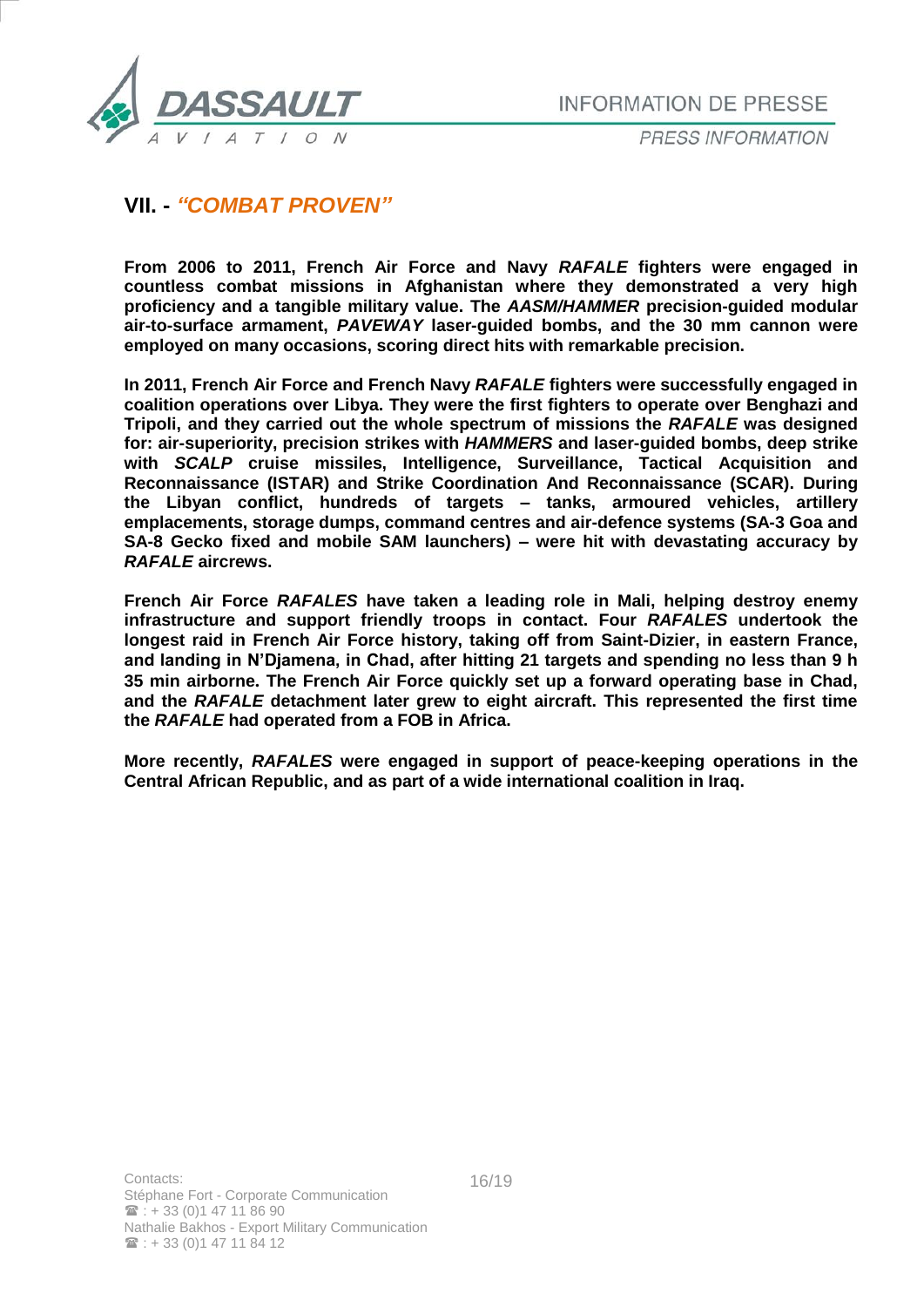

# **VII. -** *"COMBAT PROVEN"*

**From 2006 to 2011, French Air Force and Navy** *RAFALE* **fighters were engaged in countless combat missions in Afghanistan where they demonstrated a very high proficiency and a tangible military value. The** *AASM/HAMMER* **precision-guided modular air-to-surface armament,** *PAVEWAY* **laser-guided bombs, and the 30 mm cannon were employed on many occasions, scoring direct hits with remarkable precision.**

**In 2011, French Air Force and French Navy** *RAFALE* **fighters were successfully engaged in coalition operations over Libya. They were the first fighters to operate over Benghazi and Tripoli, and they carried out the whole spectrum of missions the** *RAFALE* **was designed for: air-superiority, precision strikes with** *HAMMERS* **and laser-guided bombs, deep strike with** *SCALP* **cruise missiles, Intelligence, Surveillance, Tactical Acquisition and Reconnaissance (ISTAR) and Strike Coordination And Reconnaissance (SCAR). During the Libyan conflict, hundreds of targets – tanks, armoured vehicles, artillery emplacements, storage dumps, command centres and air-defence systems (SA-3 Goa and SA-8 Gecko fixed and mobile SAM launchers) – were hit with devastating accuracy by**  *RAFALE* **aircrews.**

**French Air Force** *RAFALES* **have taken a leading role in Mali, helping destroy enemy infrastructure and support friendly troops in contact. Four** *RAFALES* **undertook the longest raid in French Air Force history, taking off from Saint-Dizier, in eastern France, and landing in N'Djamena, in Chad, after hitting 21 targets and spending no less than 9 h 35 min airborne. The French Air Force quickly set up a forward operating base in Chad, and the** *RAFALE* **detachment later grew to eight aircraft. This represented the first time the** *RAFALE* **had operated from a FOB in Africa.**

**More recently,** *RAFALES* **were engaged in support of peace-keeping operations in the Central African Republic, and as part of a wide international coalition in Iraq.**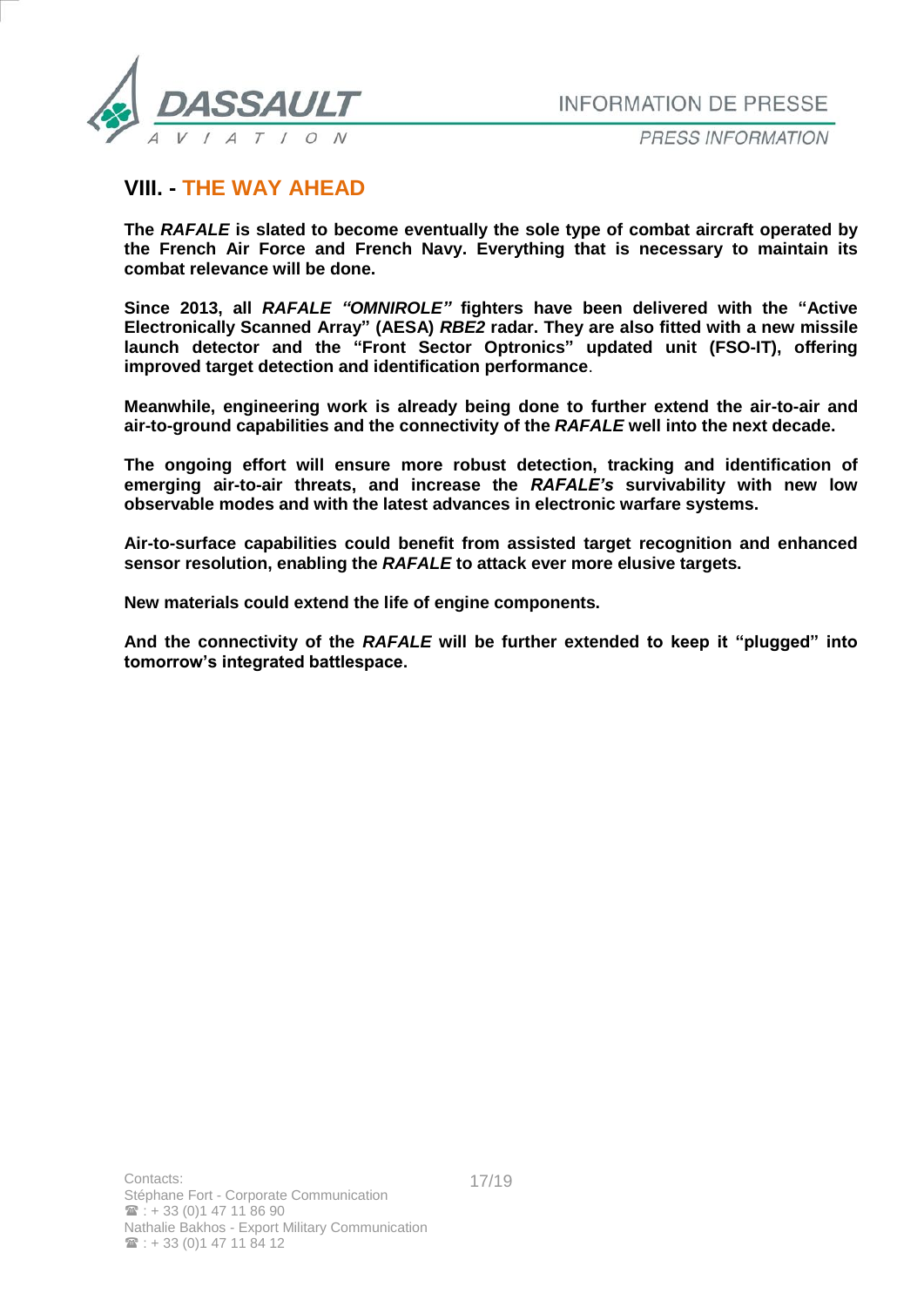

PRESS INFORMATION

## **VIII. - THE WAY AHEAD**

**The** *RAFALE* **is slated to become eventually the sole type of combat aircraft operated by the French Air Force and French Navy. Everything that is necessary to maintain its combat relevance will be done.**

**Since 2013, all** *RAFALE "OMNIROLE"* **fighters have been delivered with the "Active Electronically Scanned Array" (AESA)** *RBE2* **radar. They are also fitted with a new missile launch detector and the "Front Sector Optronics" updated unit (FSO-IT), offering improved target detection and identification performance**.

**Meanwhile, engineering work is already being done to further extend the air-to-air and air-to-ground capabilities and the connectivity of the** *RAFALE* **well into the next decade.** 

**The ongoing effort will ensure more robust detection, tracking and identification of emerging air-to-air threats, and increase the** *RAFALE's* **survivability with new low observable modes and with the latest advances in electronic warfare systems.**

**Air-to-surface capabilities could benefit from assisted target recognition and enhanced sensor resolution, enabling the** *RAFALE* **to attack ever more elusive targets.** 

**New materials could extend the life of engine components.** 

**And the connectivity of the** *RAFALE* **will be further extended to keep it "plugged" into tomorrow's integrated battlespace.**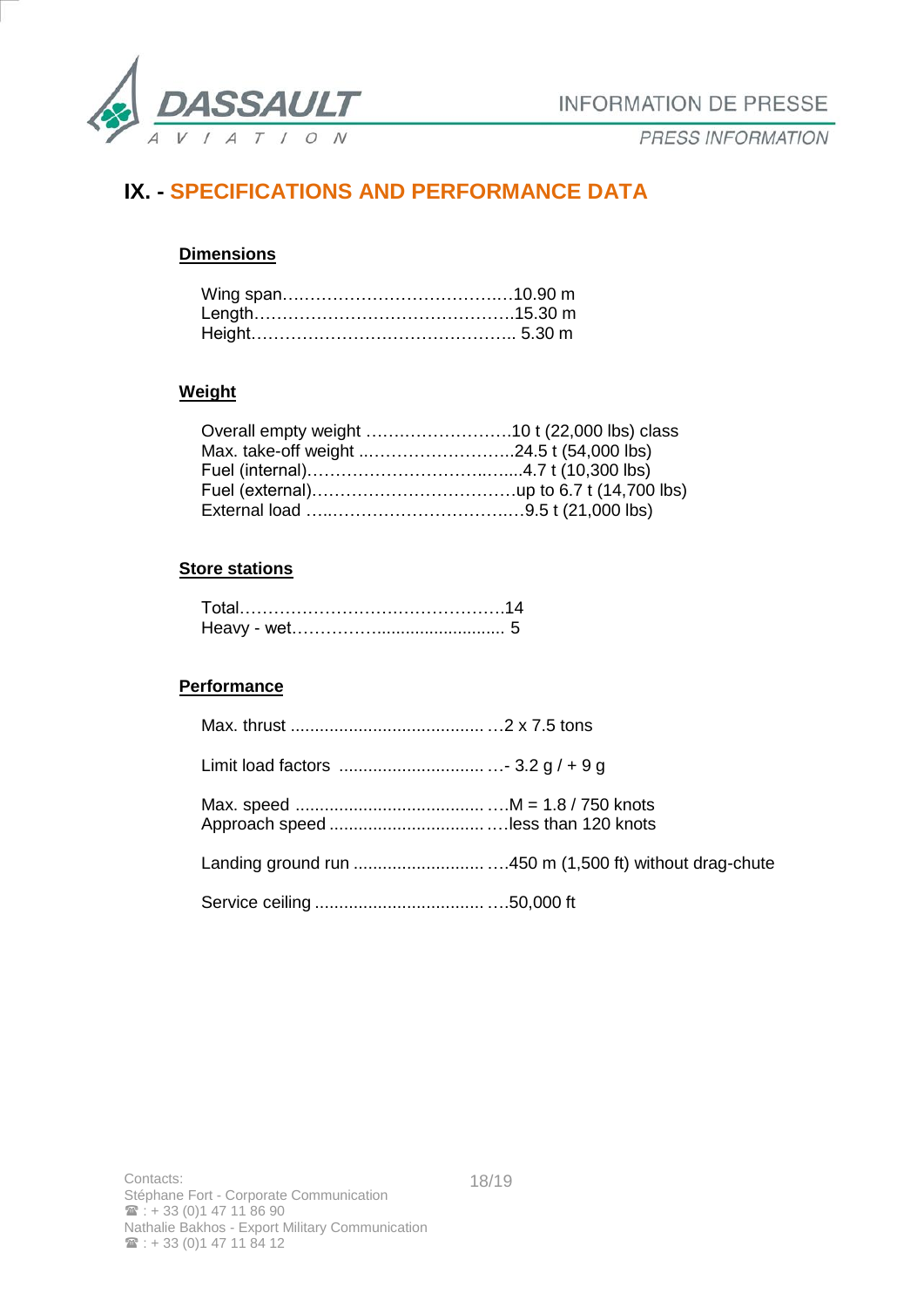

# **IX. - SPECIFICATIONS AND PERFORMANCE DATA**

## **Dimensions**

### **Weight**

## **Store stations**

## **Performance**